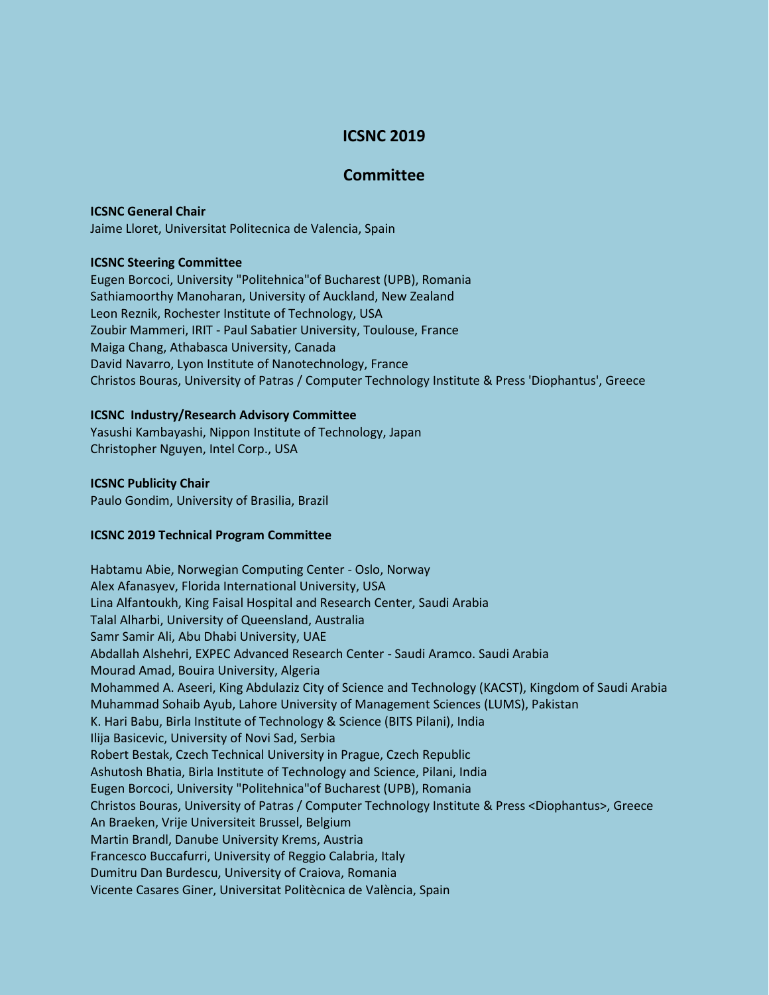# **ICSNC 2019**

## **Committee**

### **ICSNC General Chair**

Jaime Lloret, Universitat Politecnica de Valencia, Spain

## **ICSNC Steering Committee**

Eugen Borcoci, University "Politehnica"of Bucharest (UPB), Romania Sathiamoorthy Manoharan, University of Auckland, New Zealand Leon Reznik, Rochester Institute of Technology, USA Zoubir Mammeri, IRIT - Paul Sabatier University, Toulouse, France Maiga Chang, Athabasca University, Canada David Navarro, Lyon Institute of Nanotechnology, France Christos Bouras, University of Patras / Computer Technology Institute & Press 'Diophantus', Greece

### **ICSNC Industry/Research Advisory Committee**

Yasushi Kambayashi, Nippon Institute of Technology, Japan Christopher Nguyen, Intel Corp., USA

### **ICSNC Publicity Chair**

Paulo Gondim, University of Brasilia, Brazil

## **ICSNC 2019 Technical Program Committee**

Habtamu Abie, Norwegian Computing Center - Oslo, Norway Alex Afanasyev, Florida International University, USA Lina Alfantoukh, King Faisal Hospital and Research Center, Saudi Arabia Talal Alharbi, University of Queensland, Australia Samr Samir Ali, Abu Dhabi University, UAE Abdallah Alshehri, EXPEC Advanced Research Center - Saudi Aramco. Saudi Arabia Mourad Amad, Bouira University, Algeria Mohammed A. Aseeri, King Abdulaziz City of Science and Technology (KACST), Kingdom of Saudi Arabia Muhammad Sohaib Ayub, Lahore University of Management Sciences (LUMS), Pakistan K. Hari Babu, Birla Institute of Technology & Science (BITS Pilani), India Ilija Basicevic, University of Novi Sad, Serbia Robert Bestak, Czech Technical University in Prague, Czech Republic Ashutosh Bhatia, Birla Institute of Technology and Science, Pilani, India Eugen Borcoci, University "Politehnica"of Bucharest (UPB), Romania Christos Bouras, University of Patras / Computer Technology Institute & Press <Diophantus>, Greece An Braeken, Vrije Universiteit Brussel, Belgium Martin Brandl, Danube University Krems, Austria Francesco Buccafurri, University of Reggio Calabria, Italy Dumitru Dan Burdescu, University of Craiova, Romania Vicente Casares Giner, Universitat Politècnica de València, Spain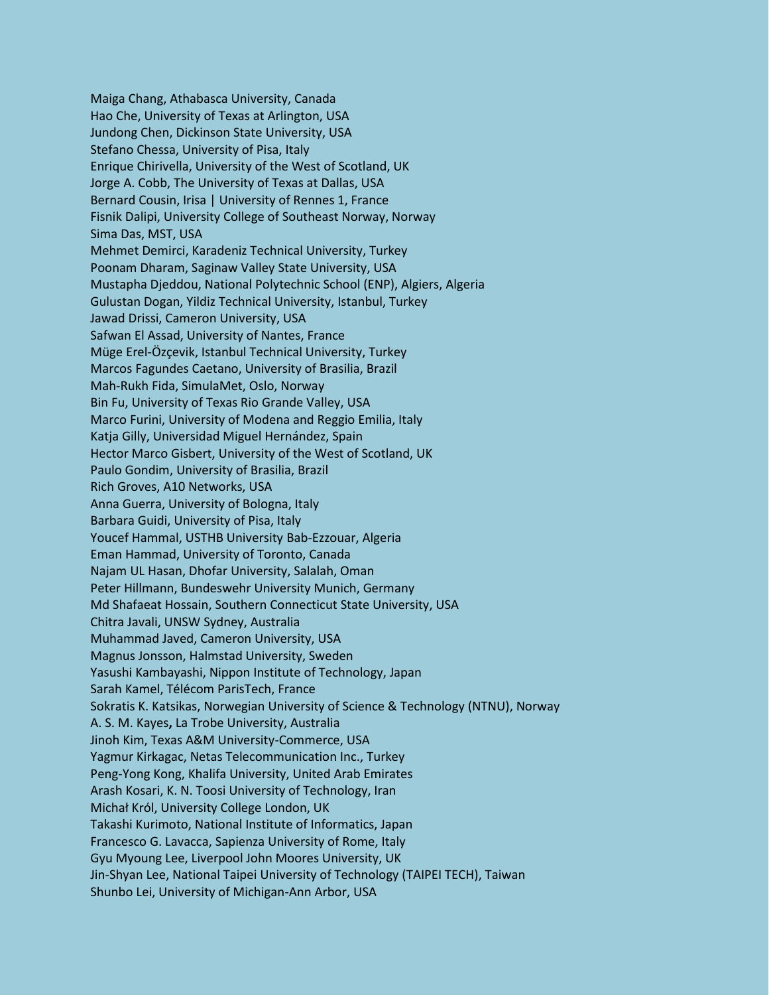Maiga Chang, Athabasca University, Canada Hao Che, University of Texas at Arlington, USA Jundong Chen, Dickinson State University, USA Stefano Chessa, University of Pisa, Italy Enrique Chirivella, University of the West of Scotland, UK Jorge A. Cobb, The University of Texas at Dallas, USA Bernard Cousin, Irisa | University of Rennes 1, France Fisnik Dalipi, University College of Southeast Norway, Norway Sima Das, MST, USA Mehmet Demirci, Karadeniz Technical University, Turkey Poonam Dharam, Saginaw Valley State University, USA Mustapha Djeddou, National Polytechnic School (ENP), Algiers, Algeria Gulustan Dogan, Yildiz Technical University, Istanbul, Turkey Jawad Drissi, Cameron University, USA Safwan El Assad, University of Nantes, France Müge Erel-Özçevik, Istanbul Technical University, Turkey Marcos Fagundes Caetano, University of Brasilia, Brazil Mah-Rukh Fida, SimulaMet, Oslo, Norway Bin Fu, University of Texas Rio Grande Valley, USA Marco Furini, University of Modena and Reggio Emilia, Italy Katja Gilly, Universidad Miguel Hernández, Spain Hector Marco Gisbert, University of the West of Scotland, UK Paulo Gondim, University of Brasilia, Brazil Rich Groves, A10 Networks, USA Anna Guerra, University of Bologna, Italy Barbara Guidi, University of Pisa, Italy Youcef Hammal, USTHB University Bab-Ezzouar, Algeria Eman Hammad, University of Toronto, Canada Najam UL Hasan, Dhofar University, Salalah, Oman Peter Hillmann, Bundeswehr University Munich, Germany Md Shafaeat Hossain, Southern Connecticut State University, USA Chitra Javali, UNSW Sydney, Australia Muhammad Javed, Cameron University, USA Magnus Jonsson, Halmstad University, Sweden Yasushi Kambayashi, Nippon Institute of Technology, Japan Sarah Kamel, Télécom ParisTech, France Sokratis K. Katsikas, Norwegian University of Science & Technology (NTNU), Norway A. S. M. Kayes**,** La Trobe University, Australia Jinoh Kim, Texas A&M University-Commerce, USA Yagmur Kirkagac, Netas Telecommunication Inc., Turkey Peng-Yong Kong, Khalifa University, United Arab Emirates Arash Kosari, K. N. Toosi University of Technology, Iran Michał Król, University College London, UK Takashi Kurimoto, National Institute of Informatics, Japan Francesco G. Lavacca, Sapienza University of Rome, Italy Gyu Myoung Lee, Liverpool John Moores University, UK Jin-Shyan Lee, National Taipei University of Technology (TAIPEI TECH), Taiwan Shunbo Lei, University of Michigan-Ann Arbor, USA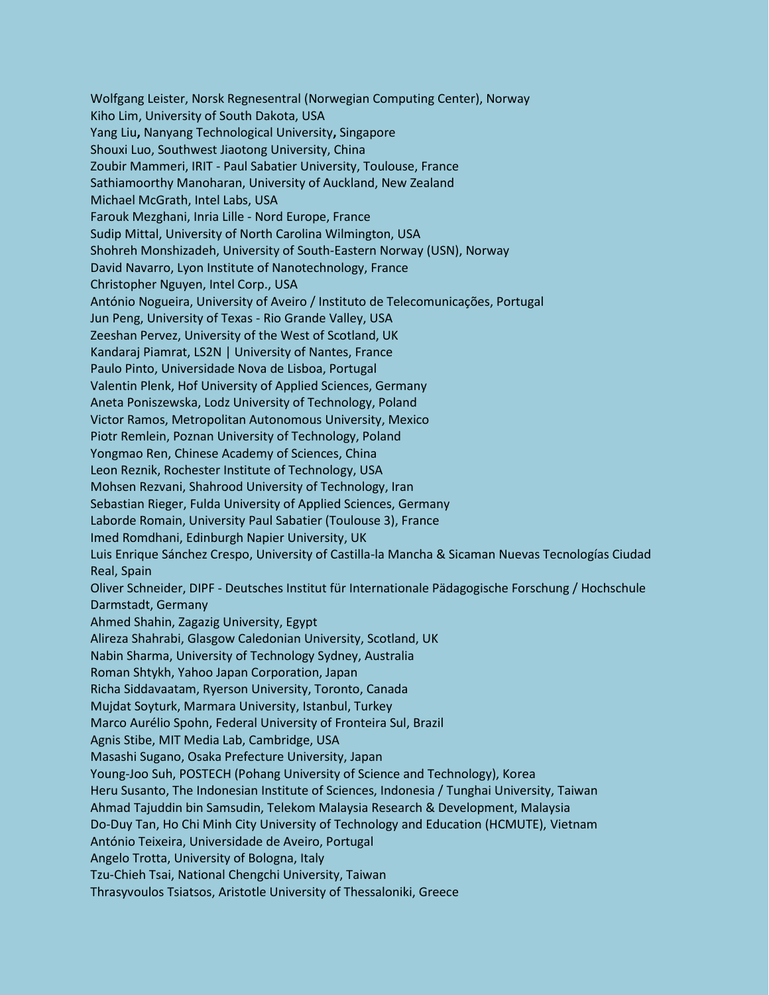Wolfgang Leister, Norsk Regnesentral (Norwegian Computing Center), Norway Kiho Lim, University of South Dakota, USA Yang Liu**,** Nanyang Technological University**,** Singapore Shouxi Luo, Southwest Jiaotong University, China Zoubir Mammeri, IRIT - Paul Sabatier University, Toulouse, France Sathiamoorthy Manoharan, University of Auckland, New Zealand Michael McGrath, Intel Labs, USA Farouk Mezghani, Inria Lille - Nord Europe, France Sudip Mittal, University of North Carolina Wilmington, USA Shohreh Monshizadeh, University of South-Eastern Norway (USN), Norway David Navarro, Lyon Institute of Nanotechnology, France Christopher Nguyen, Intel Corp., USA António Nogueira, University of Aveiro / Instituto de Telecomunicações, Portugal Jun Peng, University of Texas - Rio Grande Valley, USA Zeeshan Pervez, University of the West of Scotland, UK Kandaraj Piamrat, LS2N | University of Nantes, France Paulo Pinto, Universidade Nova de Lisboa, Portugal Valentin Plenk, Hof University of Applied Sciences, Germany Aneta Poniszewska, Lodz University of Technology, Poland Victor Ramos, Metropolitan Autonomous University, Mexico Piotr Remlein, Poznan University of Technology, Poland Yongmao Ren, Chinese Academy of Sciences, China Leon Reznik, Rochester Institute of Technology, USA Mohsen Rezvani, Shahrood University of Technology, Iran Sebastian Rieger, Fulda University of Applied Sciences, Germany Laborde Romain, University Paul Sabatier (Toulouse 3), France Imed Romdhani, Edinburgh Napier University, UK Luis Enrique Sánchez Crespo, University of Castilla-la Mancha & Sicaman Nuevas Tecnologías Ciudad Real, Spain Oliver Schneider, DIPF - Deutsches Institut für Internationale Pädagogische Forschung / Hochschule Darmstadt, Germany Ahmed Shahin, Zagazig University, Egypt Alireza Shahrabi, Glasgow Caledonian University, Scotland, UK Nabin Sharma, University of Technology Sydney, Australia Roman Shtykh, Yahoo Japan Corporation, Japan Richa Siddavaatam, Ryerson University, Toronto, Canada Mujdat Soyturk, Marmara University, Istanbul, Turkey Marco Aurélio Spohn, Federal University of Fronteira Sul, Brazil Agnis Stibe, MIT Media Lab, Cambridge, USA Masashi Sugano, Osaka Prefecture University, Japan Young-Joo Suh, POSTECH (Pohang University of Science and Technology), Korea Heru Susanto, The Indonesian Institute of Sciences, Indonesia / Tunghai University, Taiwan Ahmad Tajuddin bin Samsudin, Telekom Malaysia Research & Development, Malaysia Do-Duy Tan, Ho Chi Minh City University of Technology and Education (HCMUTE), Vietnam António Teixeira, Universidade de Aveiro, Portugal Angelo Trotta, University of Bologna, Italy Tzu-Chieh Tsai, National Chengchi University, Taiwan Thrasyvoulos Tsiatsos, Aristotle University of Thessaloniki, Greece